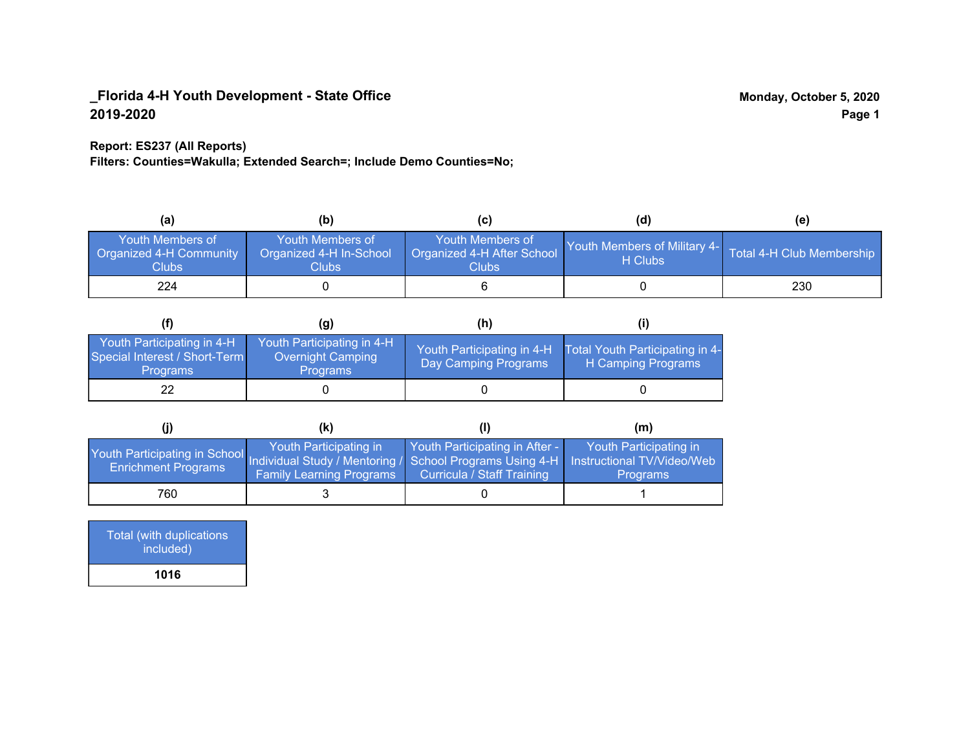#### **Report: ES237 (All Reports)**

**Filters: Counties=Wakulla; Extended Search=; Include Demo Counties=No;**

| (a)                                                         | (b)                                                   | (C)                                                       | (d)                                                               | (e) |
|-------------------------------------------------------------|-------------------------------------------------------|-----------------------------------------------------------|-------------------------------------------------------------------|-----|
| <b>Youth Members of</b><br>Organized 4-H Community<br>Clubs | Youth Members of<br>Organized 4-H In-School<br>Clubs: | Youth Members of<br>Organized 4-H After School<br>Clubs : | Youth Members of Military 4- Total 4-H Club Membership<br>H Clubs |     |
| 224                                                         |                                                       |                                                           |                                                                   | 230 |

|                                                                                | (g)                                                                | (h)                                                |                                                       |
|--------------------------------------------------------------------------------|--------------------------------------------------------------------|----------------------------------------------------|-------------------------------------------------------|
| Youth Participating in 4-H<br>Special Interest / Short-Term<br><b>Programs</b> | Youth Participating in 4-H<br>Overnight Camping<br><b>Programs</b> | Youth Participating in 4-H<br>Day Camping Programs | Total Youth Participating in 4-<br>H Camping Programs |
| 22                                                                             |                                                                    |                                                    |                                                       |

|                                                                                                                                                 | (k)                                                       |                                                              | (m)                                       |
|-------------------------------------------------------------------------------------------------------------------------------------------------|-----------------------------------------------------------|--------------------------------------------------------------|-------------------------------------------|
| Youth Participating in School Individual Study / Mentoring / School Programs Using 4-H Instructional TV/Video/Web<br><b>Enrichment Programs</b> | Youth Participating in<br><b>Family Learning Programs</b> | Youth Participating in After -<br>Curricula / Staff Training | Youth Participating in<br><b>Programs</b> |
| 760                                                                                                                                             |                                                           |                                                              |                                           |

Total (with duplications included) **1016**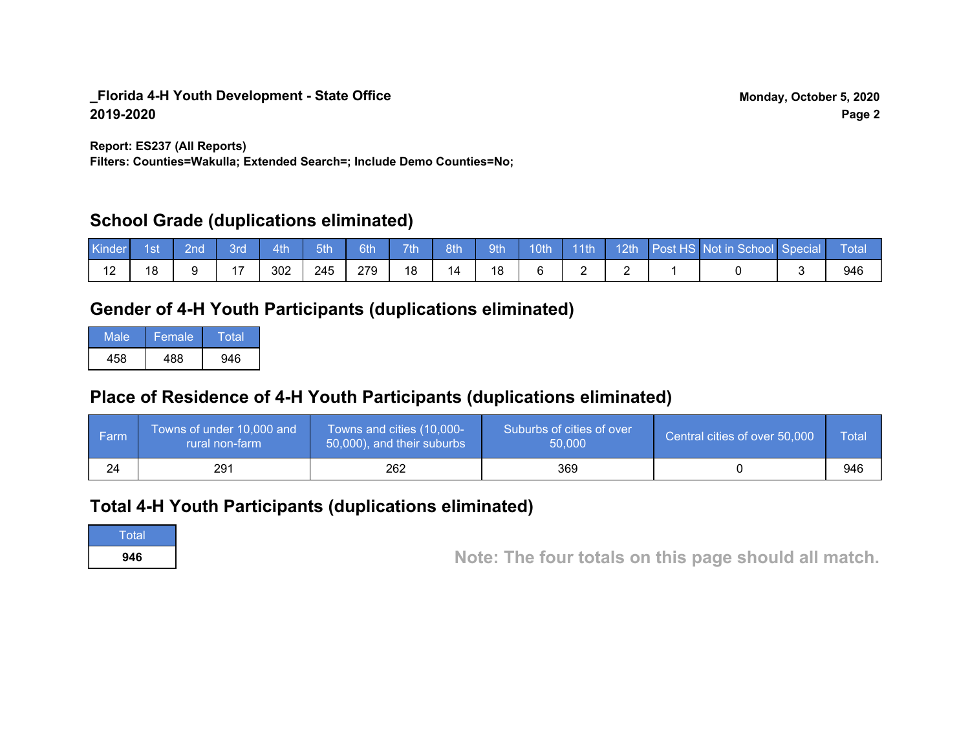**Report: ES237 (All Reports)**

**Filters: Counties=Wakulla; Extended Search=; Include Demo Counties=No;**

## **School Grade (duplications eliminated)**

| <b>Kinder</b> | <sup>1</sup> st | <b>Znd</b> | 3rd | 4th | $-5th$ | 6th | 7 <sub>th</sub> | 8th | 9th | 10th |  | 14th 12th Post HS Not in School Special | <b>Total</b> |
|---------------|-----------------|------------|-----|-----|--------|-----|-----------------|-----|-----|------|--|-----------------------------------------|--------------|
|               | 18              |            |     | 302 | 245    | 279 | 18              |     |     |      |  |                                         | 946          |

# **Gender of 4-H Youth Participants (duplications eliminated)**

| Male | Female | Total |
|------|--------|-------|
| 458  | 488    | 946   |

# **Place of Residence of 4-H Youth Participants (duplications eliminated)**

| <b>Farm</b> | Towns of under 10,000 and<br>rural non-farm | Towns and cities (10,000-<br>50,000), and their suburbs | Suburbs of cities of over<br>50,000 | Central cities of over 50,000 | Total |
|-------------|---------------------------------------------|---------------------------------------------------------|-------------------------------------|-------------------------------|-------|
| 24          | 291                                         | 262                                                     | 369                                 |                               | 946   |

# **Total 4-H Youth Participants (duplications eliminated)**

**Total** 

**<sup>946</sup> Note: The four totals on this page should all match.**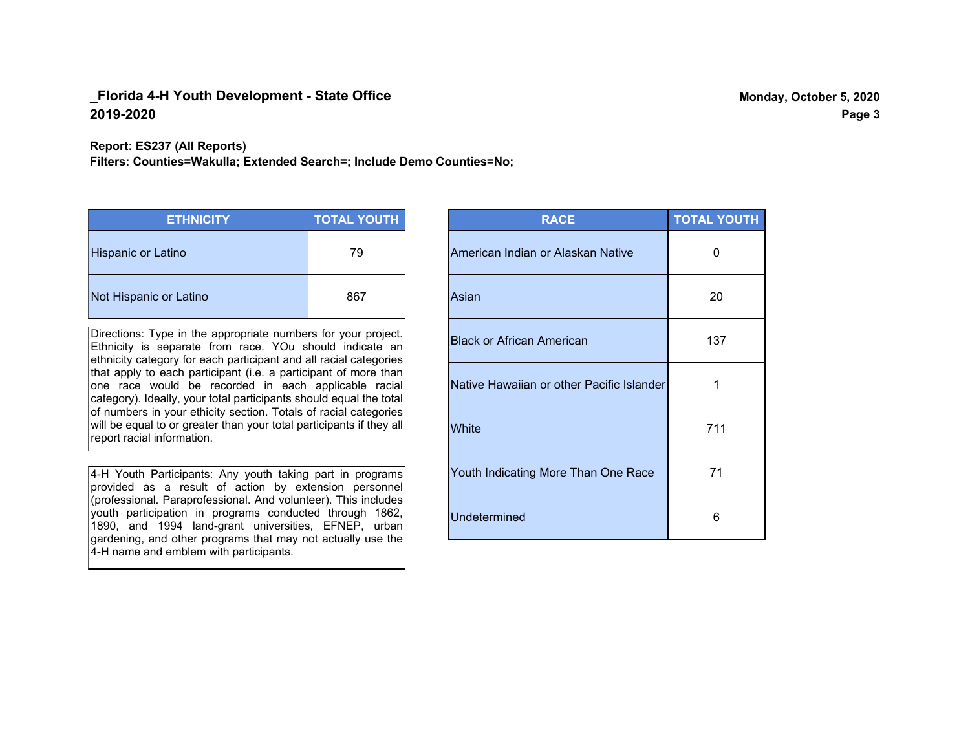**Report: ES237 (All Reports)**

**Filters: Counties=Wakulla; Extended Search=; Include Demo Counties=No;**

| <b>ETHNICITY</b>          | <b>TOTAL YOUTH</b> |
|---------------------------|--------------------|
| <b>Hispanic or Latino</b> | 79                 |
| Not Hispanic or Latino    | 867                |

Directions: Type in the appropriate numbers for your project. Ethnicity is separate from race. YOu should indicate an ethnicity category for each participant and all racial categories that apply to each participant (i.e. a participant of more than one race would be recorded in each applicable racial category). Ideally, your total participants should equal the total of numbers in your ethicity section. Totals of racial categories will be equal to or greater than your total participants if they all report racial information.

4-H Youth Participants: Any youth taking part in programs provided as a result of action by extension personnel (professional. Paraprofessional. And volunteer). This includes youth participation in programs conducted through 1862, 1890, and 1994 land-grant universities, EFNEP, urban gardening, and other programs that may not actually use the 4-H name and emblem with participants.

| <b>RACE</b>                               | <b>TOTAL YOUTH</b> |
|-------------------------------------------|--------------------|
| American Indian or Alaskan Native         | O                  |
| Asian                                     | 20                 |
| <b>Black or African American</b>          | 137                |
| Native Hawaiian or other Pacific Islander | 1                  |
| White                                     | 711                |
| Youth Indicating More Than One Race       | 71                 |
| <b>Undetermined</b>                       | 6                  |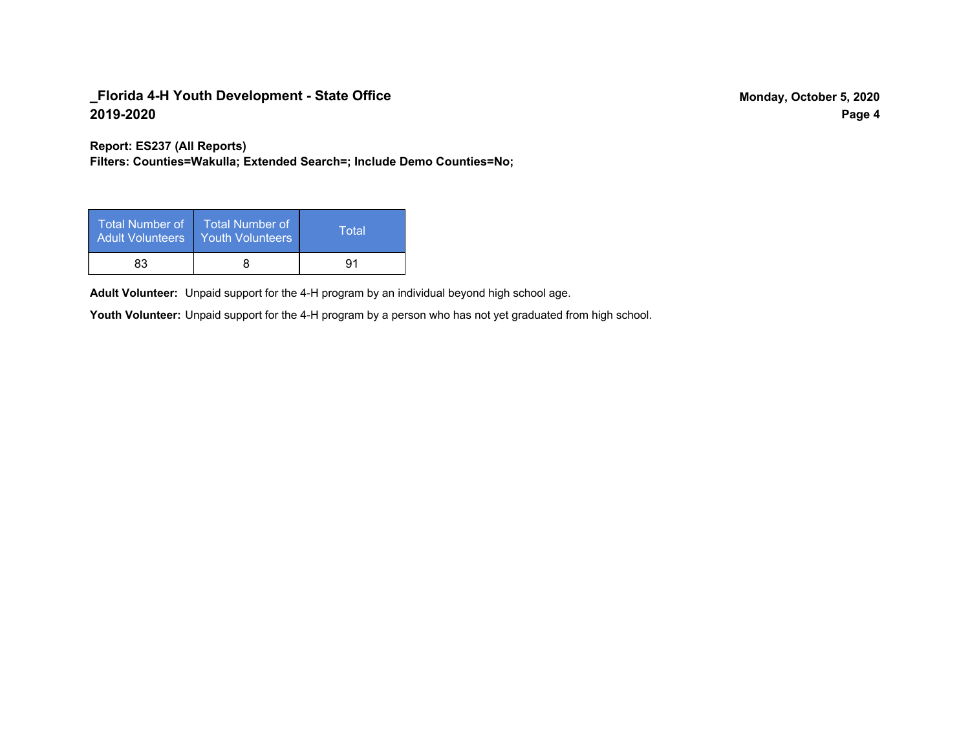**Report: ES237 (All Reports)**

**Filters: Counties=Wakulla; Extended Search=; Include Demo Counties=No;**

| Total Number of<br><b>Adult Volunteers</b> | <b>Total Number of</b><br><b>Youth Volunteers</b> | Total |
|--------------------------------------------|---------------------------------------------------|-------|
| 83                                         |                                                   | 91    |

Adult Volunteer: Unpaid support for the 4-H program by an individual beyond high school age.

Youth Volunteer: Unpaid support for the 4-H program by a person who has not yet graduated from high school.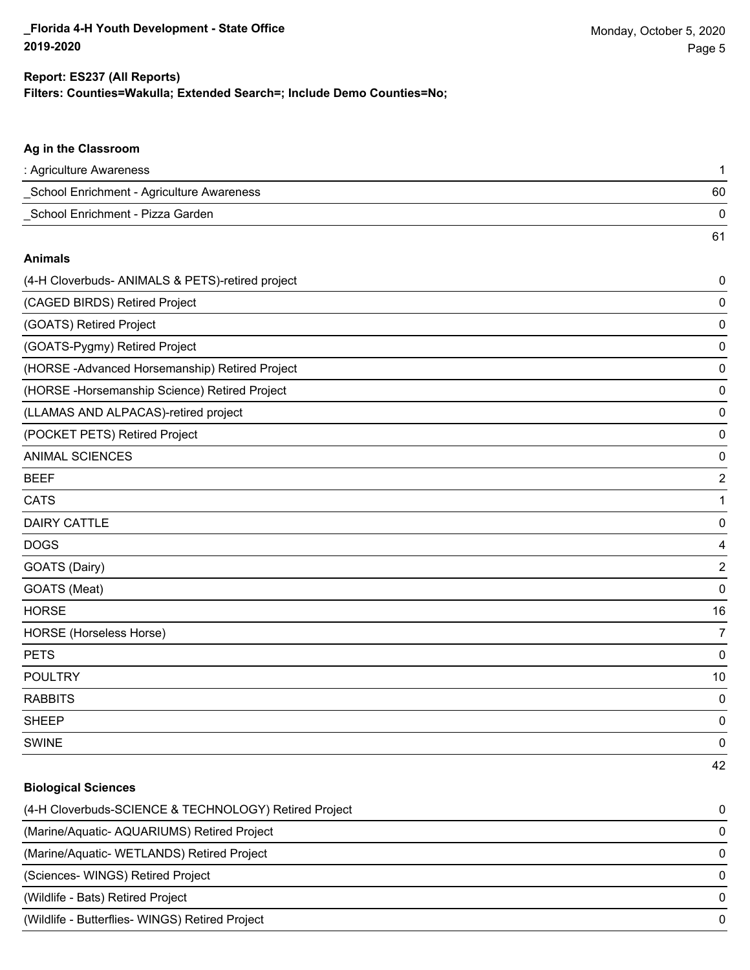61

### **Filters: Counties=Wakulla; Extended Search=; Include Demo Counties=No; Report: ES237 (All Reports)**

### **Ag in the Classroom**

| : Agriculture Awareness                   |    |
|-------------------------------------------|----|
| School Enrichment - Agriculture Awareness | 60 |
| School Enrichment - Pizza Garden          |    |

#### **Animals**

| (4-H Cloverbuds- ANIMALS & PETS)-retired project | 0              |
|--------------------------------------------------|----------------|
| (CAGED BIRDS) Retired Project                    | 0              |
| (GOATS) Retired Project                          | 0              |
| (GOATS-Pygmy) Retired Project                    | 0              |
| (HORSE-Advanced Horsemanship) Retired Project    | 0              |
| (HORSE - Horsemanship Science) Retired Project   | 0              |
| (LLAMAS AND ALPACAS)-retired project             | 0              |
| (POCKET PETS) Retired Project                    | 0              |
| <b>ANIMAL SCIENCES</b>                           | 0              |
| <b>BEEF</b>                                      | 2              |
| <b>CATS</b>                                      | 1              |
| <b>DAIRY CATTLE</b>                              | 0              |
| <b>DOGS</b>                                      | 4              |
| GOATS (Dairy)                                    | 2              |
| GOATS (Meat)                                     | 0              |
| <b>HORSE</b>                                     | 16             |
| <b>HORSE</b> (Horseless Horse)                   | $\overline{7}$ |
| <b>PETS</b>                                      | 0              |
| <b>POULTRY</b>                                   | 10             |
| <b>RABBITS</b>                                   | 0              |
| <b>SHEEP</b>                                     | 0              |
| <b>SWINE</b>                                     | 0              |
|                                                  | 42             |

### **Biological Sciences**

| (4-H Cloverbuds-SCIENCE & TECHNOLOGY) Retired Project | $\Omega$ |
|-------------------------------------------------------|----------|
| (Marine/Aquatic-AQUARIUMS) Retired Project            | $\Omega$ |
| (Marine/Aquatic- WETLANDS) Retired Project            | $\Omega$ |
| (Sciences-WINGS) Retired Project                      | $\Omega$ |
| (Wildlife - Bats) Retired Project                     | $\Omega$ |
| (Wildlife - Butterflies- WINGS) Retired Project       | $\Omega$ |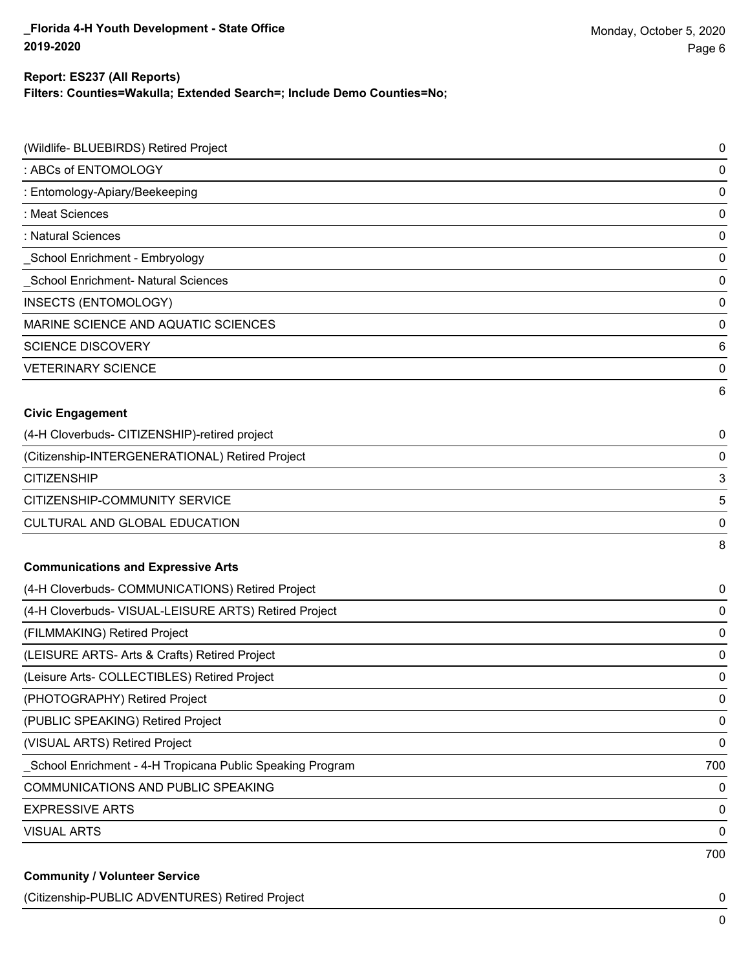## **Report: ES237 (All Reports)**

**Filters: Counties=Wakulla; Extended Search=; Include Demo Counties=No;**

| (Wildlife- BLUEBIRDS) Retired Project                     | 0   |
|-----------------------------------------------------------|-----|
| : ABCs of ENTOMOLOGY                                      | 0   |
| : Entomology-Apiary/Beekeeping                            | 0   |
| : Meat Sciences                                           | 0   |
| : Natural Sciences                                        | 0   |
| School Enrichment - Embryology                            | 0   |
| School Enrichment- Natural Sciences                       | 0   |
| <b>INSECTS (ENTOMOLOGY)</b>                               | 0   |
| MARINE SCIENCE AND AQUATIC SCIENCES                       | 0   |
| <b>SCIENCE DISCOVERY</b>                                  | 6   |
| <b>VETERINARY SCIENCE</b>                                 | 0   |
|                                                           | 6   |
| <b>Civic Engagement</b>                                   |     |
| (4-H Cloverbuds- CITIZENSHIP)-retired project             | 0   |
| (Citizenship-INTERGENERATIONAL) Retired Project           | 0   |
| <b>CITIZENSHIP</b>                                        | 3   |
| CITIZENSHIP-COMMUNITY SERVICE                             | 5   |
| CULTURAL AND GLOBAL EDUCATION                             | 0   |
|                                                           | 8   |
| <b>Communications and Expressive Arts</b>                 |     |
| (4-H Cloverbuds- COMMUNICATIONS) Retired Project          | 0   |
| (4-H Cloverbuds- VISUAL-LEISURE ARTS) Retired Project     | 0   |
| (FILMMAKING) Retired Project                              | 0   |
| (LEISURE ARTS- Arts & Crafts) Retired Project             | 0   |
| (Leisure Arts- COLLECTIBLES) Retired Project              | 0   |
| (PHOTOGRAPHY) Retired Project                             | 0   |
| (PUBLIC SPEAKING) Retired Project                         | 0   |
| (VISUAL ARTS) Retired Project                             | 0   |
| School Enrichment - 4-H Tropicana Public Speaking Program | 700 |
| <b>COMMUNICATIONS AND PUBLIC SPEAKING</b>                 | 0   |
| <b>EXPRESSIVE ARTS</b>                                    | 0   |
| <b>VISUAL ARTS</b>                                        | 0   |
|                                                           | 700 |
| <b>Community / Volunteer Service</b>                      |     |

(Citizenship-PUBLIC ADVENTURES) Retired Project 0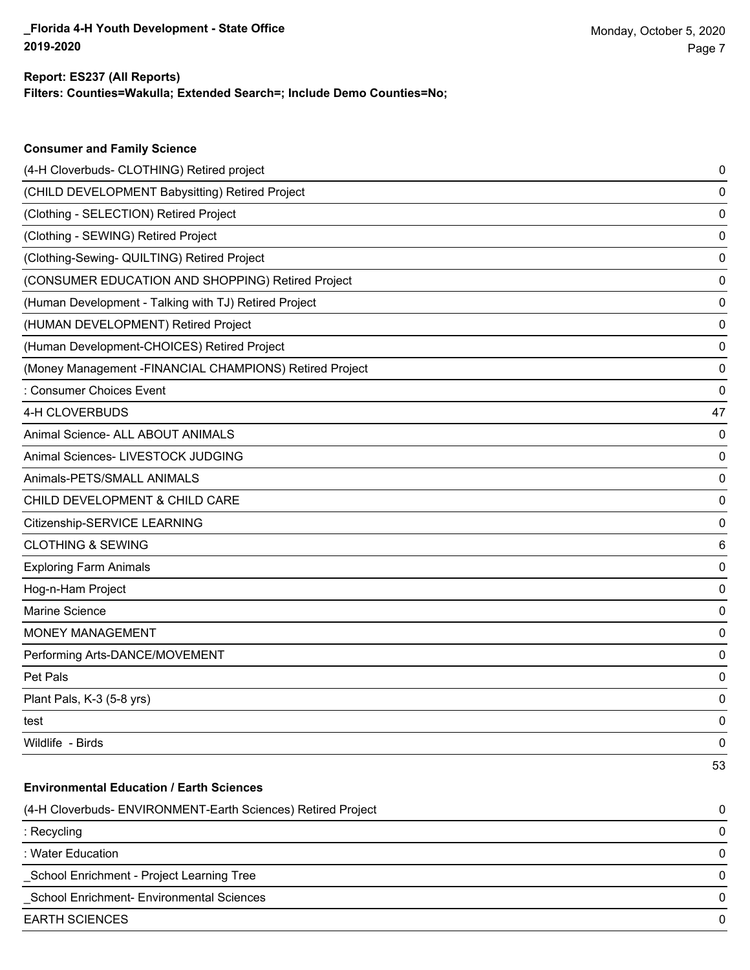**Consumer and Family Science**

#### **Filters: Counties=Wakulla; Extended Search=; Include Demo Counties=No; Report: ES237 (All Reports)**

| (4-H Cloverbuds- CLOTHING) Retired project                   | 0  |
|--------------------------------------------------------------|----|
| (CHILD DEVELOPMENT Babysitting) Retired Project              | 0  |
| (Clothing - SELECTION) Retired Project                       | 0  |
| (Clothing - SEWING) Retired Project                          | 0  |
| (Clothing-Sewing- QUILTING) Retired Project                  | 0  |
| (CONSUMER EDUCATION AND SHOPPING) Retired Project            | 0  |
| (Human Development - Talking with TJ) Retired Project        | 0  |
| (HUMAN DEVELOPMENT) Retired Project                          | 0  |
| (Human Development-CHOICES) Retired Project                  | 0  |
| (Money Management -FINANCIAL CHAMPIONS) Retired Project      | 0  |
| : Consumer Choices Event                                     | 0  |
| 4-H CLOVERBUDS                                               | 47 |
| Animal Science- ALL ABOUT ANIMALS                            | 0  |
| Animal Sciences- LIVESTOCK JUDGING                           | 0  |
| Animals-PETS/SMALL ANIMALS                                   | 0  |
| CHILD DEVELOPMENT & CHILD CARE                               | 0  |
| Citizenship-SERVICE LEARNING                                 | 0  |
| <b>CLOTHING &amp; SEWING</b>                                 | 6  |
| <b>Exploring Farm Animals</b>                                | 0  |
| Hog-n-Ham Project                                            | 0  |
| Marine Science                                               | 0  |
| <b>MONEY MANAGEMENT</b>                                      | 0  |
| Performing Arts-DANCE/MOVEMENT                               | 0  |
| Pet Pals                                                     | 0  |
| Plant Pals, K-3 (5-8 yrs)                                    | 0  |
| test                                                         | 0  |
| Wildlife - Birds                                             | 0  |
|                                                              | 53 |
| <b>Environmental Education / Earth Sciences</b>              |    |
| (4-H Cloverbuds- ENVIRONMENT-Earth Sciences) Retired Project | 0  |
| : Recycling                                                  | 0  |
| : Water Education                                            | 0  |
| School Enrichment - Project Learning Tree                    | 0  |
| School Enrichment- Environmental Sciences                    | 0  |
| <b>EARTH SCIENCES</b>                                        | 0  |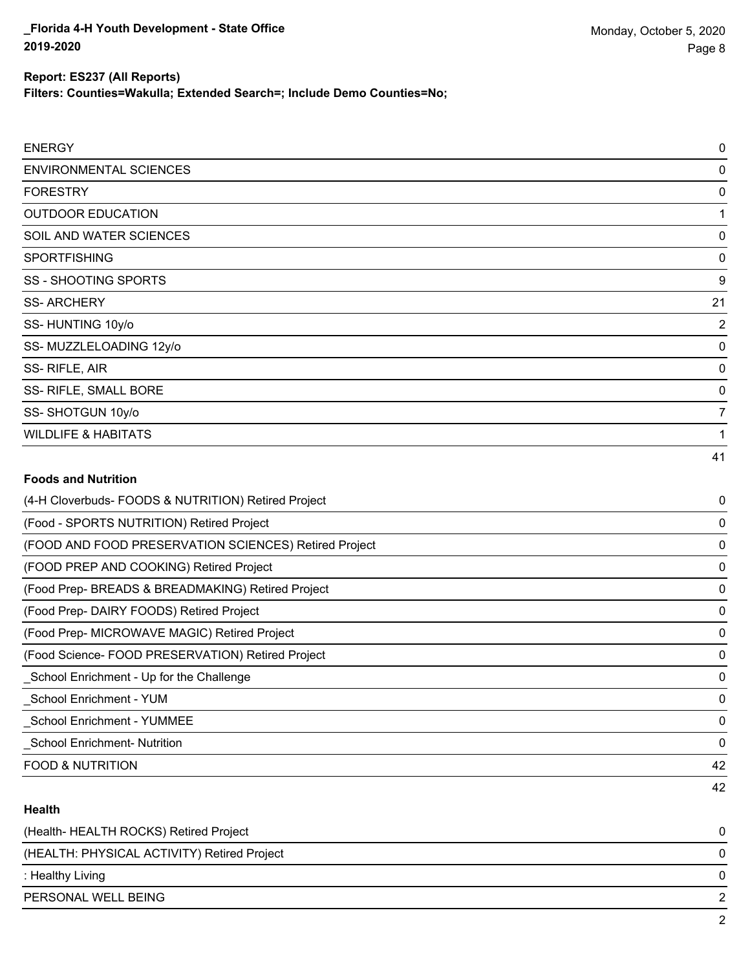**Filters: Counties=Wakulla; Extended Search=; Include Demo Counties=No;**

| <b>ENERGY</b>                                         | 0  |
|-------------------------------------------------------|----|
| <b>ENVIRONMENTAL SCIENCES</b>                         | 0  |
| <b>FORESTRY</b>                                       | 0  |
| <b>OUTDOOR EDUCATION</b>                              | 1  |
| SOIL AND WATER SCIENCES                               | 0  |
| <b>SPORTFISHING</b>                                   | 0  |
| <b>SS - SHOOTING SPORTS</b>                           | 9  |
| <b>SS-ARCHERY</b>                                     | 21 |
| SS-HUNTING 10y/o                                      | 2  |
| SS-MUZZLELOADING 12y/o                                | 0  |
| SS-RIFLE, AIR                                         | 0  |
| SS- RIFLE, SMALL BORE                                 | 0  |
| SS-SHOTGUN 10y/o                                      | 7  |
| <b>WILDLIFE &amp; HABITATS</b>                        |    |
|                                                       | 41 |
| <b>Foods and Nutrition</b>                            |    |
| (4-H Cloverbuds- FOODS & NUTRITION) Retired Project   | 0  |
| (Food - SPORTS NUTRITION) Retired Project             | 0  |
| (FOOD AND FOOD PRESERVATION SCIENCES) Retired Project | 0  |
| (FOOD PREP AND COOKING) Retired Project               | 0  |
| (Food Prep- BREADS & BREADMAKING) Retired Project     | 0  |
| (Food Prep- DAIRY FOODS) Retired Project              | 0  |
| (Food Prep- MICROWAVE MAGIC) Retired Project          | 0  |
|                                                       |    |

(Food Science- FOOD PRESERVATION) Retired Project 0 \_School Enrichment - Up for the Challenge 0

\_School Enrichment - YUM 0

\_School Enrichment - YUMMEE 0

\_School Enrichment- Nutrition 0

FOOD & NUTRITION 42

### **Health**

| (Health-HEALTH ROCKS) Retired Project       |   |
|---------------------------------------------|---|
| (HEALTH: PHYSICAL ACTIVITY) Retired Project | 0 |
| : Healthy Living                            | 0 |
| PERSONAL WELL BEING                         | ົ |
|                                             |   |

42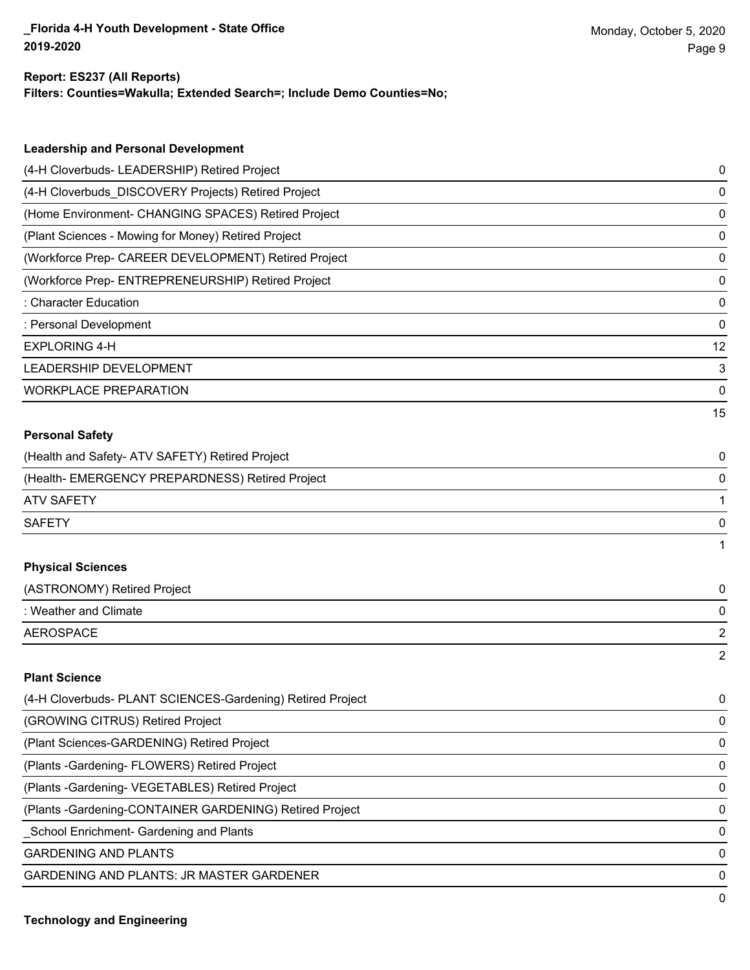#### **Report: ES237 (All Reports)**

**Filters: Counties=Wakulla; Extended Search=; Include Demo Counties=No;**

| <b>Leadership and Personal Development</b>                 |                |
|------------------------------------------------------------|----------------|
| (4-H Cloverbuds- LEADERSHIP) Retired Project               | 0              |
| (4-H Cloverbuds_DISCOVERY Projects) Retired Project        | 0              |
| (Home Environment- CHANGING SPACES) Retired Project        | 0              |
| (Plant Sciences - Mowing for Money) Retired Project        | 0              |
| (Workforce Prep- CAREER DEVELOPMENT) Retired Project       | 0              |
| (Workforce Prep- ENTREPRENEURSHIP) Retired Project         | 0              |
| : Character Education                                      | 0              |
| : Personal Development                                     | 0              |
| <b>EXPLORING 4-H</b>                                       | 12             |
| LEADERSHIP DEVELOPMENT                                     | 3              |
| <b>WORKPLACE PREPARATION</b>                               | 0              |
|                                                            | 15             |
| <b>Personal Safety</b>                                     |                |
| (Health and Safety- ATV SAFETY) Retired Project            | 0              |
| (Health- EMERGENCY PREPARDNESS) Retired Project            | 0              |
| <b>ATV SAFETY</b>                                          | $\mathbf{1}$   |
| <b>SAFETY</b>                                              | 0              |
|                                                            | 1              |
| <b>Physical Sciences</b>                                   |                |
| (ASTRONOMY) Retired Project                                | 0              |
| : Weather and Climate                                      | 0              |
| <b>AEROSPACE</b>                                           | $\overline{2}$ |
|                                                            | $\overline{2}$ |
| <b>Plant Science</b>                                       |                |
| (4-H Cloverbuds- PLANT SCIENCES-Gardening) Retired Project | 0              |
| (GROWING CITRUS) Retired Project                           | 0              |
| (Plant Sciences-GARDENING) Retired Project                 | 0              |

(Plants -Gardening- FLOWERS) Retired Project 0

(Plants -Gardening- VEGETABLES) Retired Project 0

(Plants -Gardening-CONTAINER GARDENING) Retired Project 0

\_School Enrichment- Gardening and Plants 0

GARDENING AND PLANTS O

GARDENING AND PLANTS: JR MASTER GARDENER 0